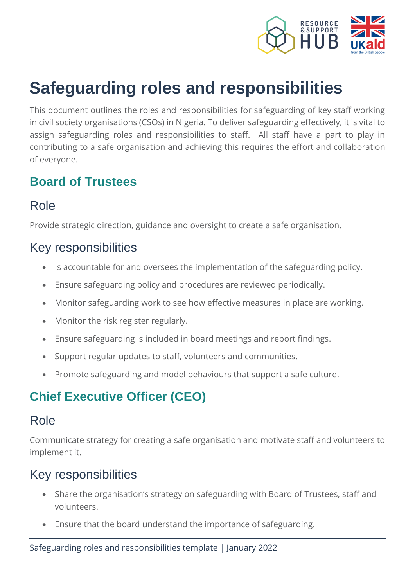

# **Safeguarding roles and responsibilities**

This document outlines the roles and responsibilities for safeguarding of key staff working in civil society organisations (CSOs) in Nigeria. To deliver safeguarding effectively, it is vital to assign safeguarding roles and responsibilities to staff. All staff have a part to play in contributing to a safe organisation and achieving this requires the effort and collaboration of everyone.

#### **Board of Trustees**

## Role

Provide strategic direction, guidance and oversight to create a safe organisation.

#### Key responsibilities

- Is accountable for and oversees the implementation of the safeguarding policy.
- Ensure safeguarding policy and procedures are reviewed periodically.
- Monitor safeguarding work to see how effective measures in place are working.
- Monitor the risk register regularly.
- Ensure safeguarding is included in board meetings and report findings.
- Support regular updates to staff, volunteers and communities.
- Promote safeguarding and model behaviours that support a safe culture.

# **Chief Executive Officer (CEO)**

#### Role

Communicate strategy for creating a safe organisation and motivate staff and volunteers to implement it.

## Key responsibilities

- Share the organisation's strategy on safeguarding with Board of Trustees, staff and volunteers.
- Ensure that the board understand the importance of safeguarding.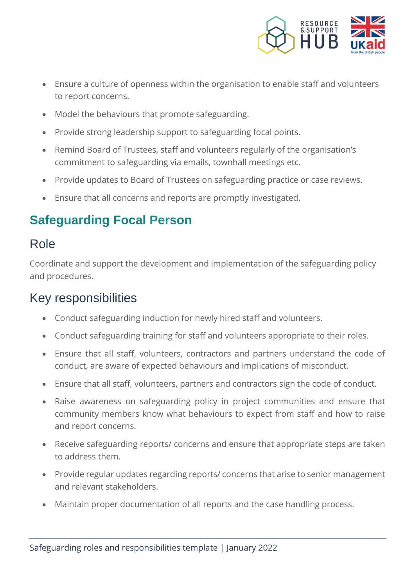

- Ensure a culture of openness within the organisation to enable staff and volunteers to report concerns.
- Model the behaviours that promote safeguarding.
- Provide strong leadership support to safeguarding focal points.
- Remind Board of Trustees, staff and volunteers regularly of the organisation's commitment to safeguarding via emails, townhall meetings etc.
- Provide updates to Board of Trustees on safeguarding practice or case reviews.
- Ensure that all concerns and reports are promptly investigated.

## **Safeguarding Focal Person**

#### Role

Coordinate and support the development and implementation of the safeguarding policy and procedures.

#### Key responsibilities

- Conduct safeguarding induction for newly hired staff and volunteers.
- Conduct safeguarding training for staff and volunteers appropriate to their roles.
- Ensure that all staff, volunteers, contractors and partners understand the code of conduct, are aware of expected behaviours and implications of misconduct.
- Ensure that all staff, volunteers, partners and contractors sign the code of conduct.
- Raise awareness on safeguarding policy in project communities and ensure that community members know what behaviours to expect from staff and how to raise and report concerns.
- Receive safeguarding reports/ concerns and ensure that appropriate steps are taken to address them.
- Provide regular updates regarding reports/ concerns that arise to senior management and relevant stakeholders.
- Maintain proper documentation of all reports and the case handling process.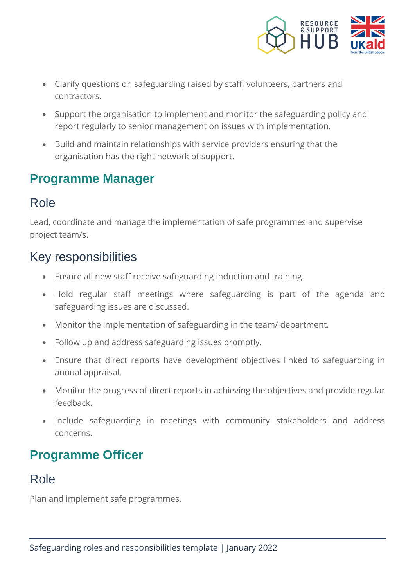

- Clarify questions on safeguarding raised by staff, volunteers, partners and contractors.
- Support the organisation to implement and monitor the safeguarding policy and report regularly to senior management on issues with implementation.
- Build and maintain relationships with service providers ensuring that the organisation has the right network of support.

#### **Programme Manager**

#### Role

Lead, coordinate and manage the implementation of safe programmes and supervise project team/s.

## Key responsibilities

- Ensure all new staff receive safeguarding induction and training.
- Hold regular staff meetings where safeguarding is part of the agenda and safeguarding issues are discussed.
- Monitor the implementation of safeguarding in the team/ department.
- Follow up and address safeguarding issues promptly.
- Ensure that direct reports have development objectives linked to safeguarding in annual appraisal.
- Monitor the progress of direct reports in achieving the objectives and provide regular feedback.
- Include safeguarding in meetings with community stakeholders and address concerns.

## **Programme Officer**

#### Role

Plan and implement safe programmes.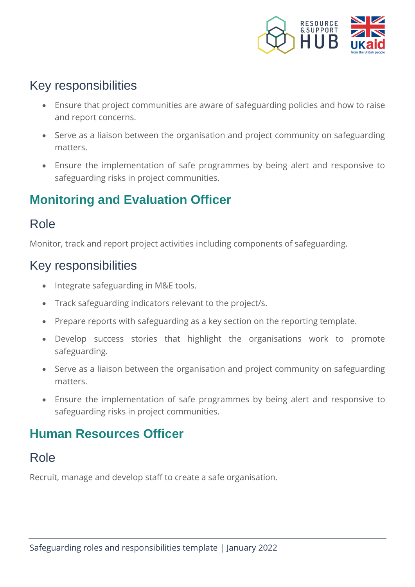

## Key responsibilities

- Ensure that project communities are aware of safeguarding policies and how to raise and report concerns.
- Serve as a liaison between the organisation and project community on safeguarding matters.
- Ensure the implementation of safe programmes by being alert and responsive to safeguarding risks in project communities.

## **Monitoring and Evaluation Officer**

#### Role

Monitor, track and report project activities including components of safeguarding.

#### Key responsibilities

- Integrate safeguarding in M&E tools.
- Track safeguarding indicators relevant to the project/s.
- Prepare reports with safeguarding as a key section on the reporting template.
- Develop success stories that highlight the organisations work to promote safeguarding.
- Serve as a liaison between the organisation and project community on safeguarding matters.
- Ensure the implementation of safe programmes by being alert and responsive to safeguarding risks in project communities.

## **Human Resources Officer**

#### Role

Recruit, manage and develop staff to create a safe organisation.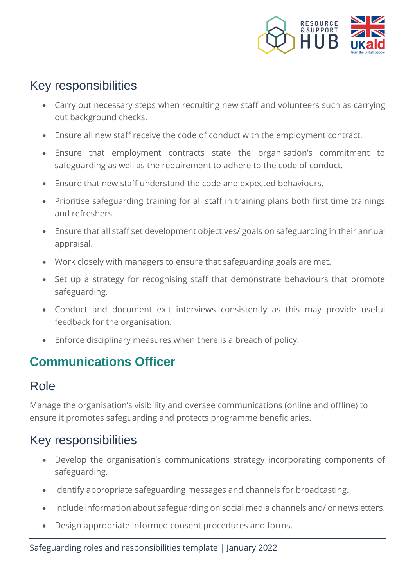

## Key responsibilities

- Carry out necessary steps when recruiting new staff and volunteers such as carrying out background checks.
- Ensure all new staff receive the code of conduct with the employment contract.
- Ensure that employment contracts state the organisation's commitment to safeguarding as well as the requirement to adhere to the code of conduct.
- Ensure that new staff understand the code and expected behaviours.
- Prioritise safeguarding training for all staff in training plans both first time trainings and refreshers.
- Ensure that all staff set development objectives/ goals on safeguarding in their annual appraisal.
- Work closely with managers to ensure that safeguarding goals are met.
- Set up a strategy for recognising staff that demonstrate behaviours that promote safeguarding.
- Conduct and document exit interviews consistently as this may provide useful feedback for the organisation.
- Enforce disciplinary measures when there is a breach of policy.

## **Communications Officer**

#### Role

Manage the organisation's visibility and oversee communications (online and offline) to ensure it promotes safeguarding and protects programme beneficiaries.

## Key responsibilities

- Develop the organisation's communications strategy incorporating components of safeguarding.
- Identify appropriate safeguarding messages and channels for broadcasting.
- Include information about safeguarding on social media channels and/ or newsletters.
- Design appropriate informed consent procedures and forms.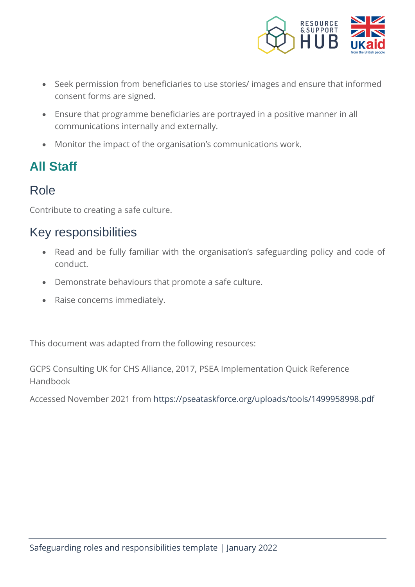

- Seek permission from beneficiaries to use stories/ images and ensure that informed consent forms are signed.
- Ensure that programme beneficiaries are portrayed in a positive manner in all communications internally and externally.
- Monitor the impact of the organisation's communications work.

# **All Staff**

#### Role

Contribute to creating a safe culture.

## Key responsibilities

- Read and be fully familiar with the organisation's safeguarding policy and code of conduct.
- Demonstrate behaviours that promote a safe culture.
- Raise concerns immediately.

This document was adapted from the following resources:

GCPS Consulting UK for CHS Alliance, 2017, PSEA Implementation Quick Reference Handbook

Accessed November 2021 from<https://pseataskforce.org/uploads/tools/1499958998.pdf>